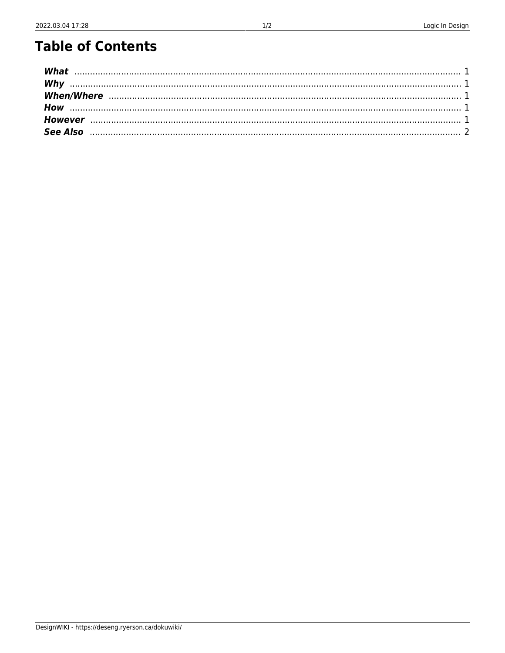## **Table of Contents**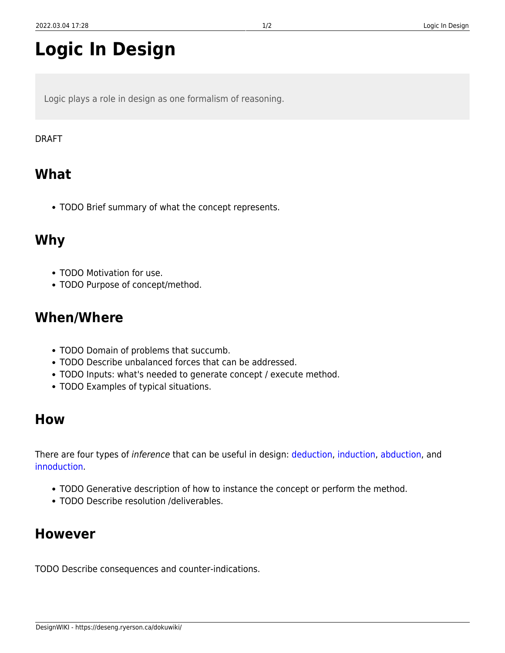# **Logic In Design**

Logic plays a role in design as one formalism of reasoning.

#### DRAFT

### <span id="page-2-0"></span>**What**

TODO Brief summary of what the concept represents.

#### <span id="page-2-1"></span>**Why**

- TODO Motivation for use.
- TODO Purpose of concept/method.

#### <span id="page-2-2"></span>**When/Where**

- TODO Domain of problems that succumb.
- TODO Describe unbalanced forces that can be addressed.
- TODO Inputs: what's needed to generate concept / execute method.
- TODO Examples of typical situations.

#### <span id="page-2-3"></span>**How**

There are four types of *inference* that can be useful in design: [deduction](https://deseng.ryerson.ca/dokuwiki/design:deduction), [induction](https://deseng.ryerson.ca/dokuwiki/design:induction), [abduction,](https://deseng.ryerson.ca/dokuwiki/design:abduction) and [innoduction.](https://deseng.ryerson.ca/dokuwiki/design:innoduction)

- TODO Generative description of how to instance the concept or perform the method.
- TODO Describe resolution /deliverables.

#### <span id="page-2-4"></span>**However**

TODO Describe consequences and counter-indications.